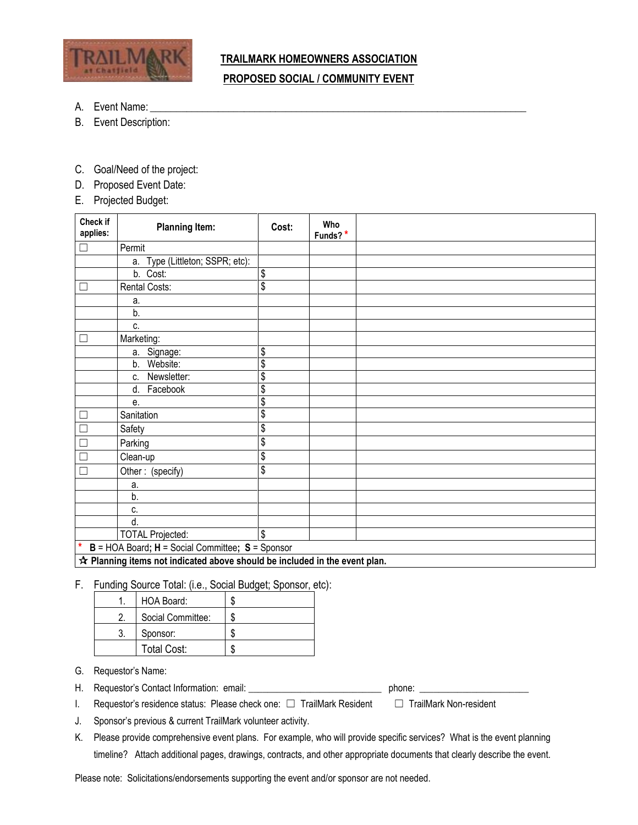

## **TRAILMARK HOMEOWNERS ASSOCIATION PROPOSED SOCIAL / COMMUNITY EVENT**

- A. Event Name:
- B. Event Description:
- C. Goal/Need of the project:
- D. Proposed Event Date:
- E. Projected Budget:

| Check if<br>applies: | <b>Planning Item:</b>           | Cost:                                | Who<br>Funds?* |  |
|----------------------|---------------------------------|--------------------------------------|----------------|--|
| ┓                    | Permit                          |                                      |                |  |
|                      | a. Type (Littleton; SSPR; etc): |                                      |                |  |
|                      | b. Cost:                        | \$                                   |                |  |
| $\mathcal{A}$        | Rental Costs:                   | $\overline{\$}$                      |                |  |
|                      | a.                              |                                      |                |  |
|                      | b.                              |                                      |                |  |
|                      | c.                              |                                      |                |  |
| □                    | Marketing:                      |                                      |                |  |
|                      | a. Signage:                     | $\overline{\boldsymbol{\mathsf{S}}}$ |                |  |
|                      | Website:<br>b.                  | $\overline{\$}$                      |                |  |
|                      | Newsletter:<br>C.               | $\overline{\$}$                      |                |  |
|                      | Facebook<br>d.                  | $\overline{\boldsymbol{\mathsf{S}}}$ |                |  |
|                      | е.                              | $\overline{\mathcal{E}}$             |                |  |
| $\mathcal{A}$        | Sanitation                      | $\overline{\mathcal{E}}$             |                |  |
| Π                    | Safety                          | \$                                   |                |  |
| Ξ                    | Parking                         | $\overline{\mathcal{E}}$             |                |  |
| ┑                    | Clean-up                        | $\overline{\$}$                      |                |  |
| Γ                    | Other: (specify)                | \$                                   |                |  |
|                      | a.                              |                                      |                |  |
|                      | b.                              |                                      |                |  |
|                      | C.                              |                                      |                |  |
|                      | d.                              |                                      |                |  |
|                      | <b>TOTAL Projected:</b>         | $\overline{\boldsymbol{\mathsf{S}}}$ |                |  |

**<u><b>★ Planning items not indicated above should be included in the event plan.**</u>

## F. Funding Source Total: (i.e., Social Budget; Sponsor, etc):

| HOA Board:         | æ |
|--------------------|---|
| Social Committee:  |   |
| Sponsor:           |   |
| <b>Total Cost:</b> | л |

G. Requestor's Name:

- H. Requestor's Contact Information: email: \_\_\_\_\_\_\_\_\_\_\_\_\_\_\_\_\_\_\_\_\_\_\_\_\_\_\_\_ phone: \_\_\_\_\_\_\_\_\_\_\_\_\_\_\_\_\_\_\_\_\_\_\_
- I. Requestor's residence status: Please check one: ☐ TrailMark Resident ☐ TrailMark Non-resident

J. Sponsor's previous & current TrailMark volunteer activity.

K. Please provide comprehensive event plans. For example, who will provide specific services? What is the event planning timeline? Attach additional pages, drawings, contracts, and other appropriate documents that clearly describe the event.

Please note: Solicitations/endorsements supporting the event and/or sponsor are not needed.